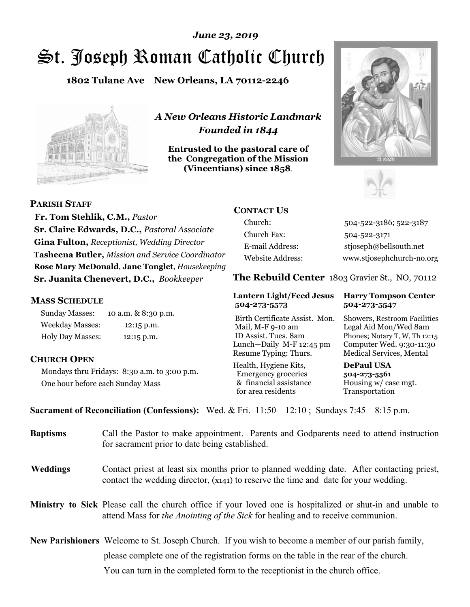# St. Joseph Roman Catholic Church *June 23, 2019*

**1802 Tulane Ave New Orleans, LA 70112-2246**



*A New Orleans Historic Landmark Founded in 1844* 

**Entrusted to the pastoral care of the Congregation of the Mission (Vincentians) since 1858**.





**PARISH STAFF**

 **Fr. Tom Stehlik, C.M.,** *Pastor* **Sr. Claire Edwards, D.C.,** *Pastoral Associate* **Gina Fulton,** *Receptionist, Wedding Director* **Tasheena Butler,** *Mission and Service Coordinator* **Rose Mary McDonald**, **Jane Tonglet**, *Housekeeping* **Sr. Juanita Chenevert, D.C.,** *Bookkeeper* 

#### **MASS SCHEDULE**

Sunday Masses: 10 a.m. & 8:30 p.m. Weekday Masses: 12:15 p.m. Holy Day Masses: 12:15 p.m.

#### **CHURCH OPEN**

Mondays thru Fridays: 8:30 a.m. to 3:00 p.m. One hour before each Sunday Mass

# **CONTACT US**

Church: 504-522-3186; 522-3187 Church Fax: 504-522-3171 E-mail Address: stjoseph@bellsouth.net Website Address: www.stjosephchurch-no.org

**The Rebuild Center** 1803 Gravier St., NO, 70112

#### **Lantern Light/Feed Jesus Harry Tompson Center 504-273-5573 504-273-5547**

Birth Certificate Assist. Mon. Showers, Restroom Facilities Mail, M-F 9-10 am Legal Aid Mon/Wed 8am ID Assist. Tues. 8am Phones; Notary T, W, Th 12:15 Lunch—Daily M-F 12:45 pm Computer Wed. 9:30-11:30 Resume Typing: Thurs. Medical Services, Mental

Health, Hygiene Kits, **DePaul USA**  Emergency groceries **504-273-5561** & financial assistance Housing w/ case mgt.<br>for area residents Transportation for area residents

**Sacrament of Reconciliation (Confessions):** Wed. & Fri. 11:50—12:10 ; Sundays 7:45—8:15 p.m.

| <b>Baptisms</b> | Call the Pastor to make appointment. Parents and Godparents need to attend instruction<br>for sacrament prior to date being established.                                                            |  |
|-----------------|-----------------------------------------------------------------------------------------------------------------------------------------------------------------------------------------------------|--|
| <b>Weddings</b> | Contact priest at least six months prior to planned wedding date. After contacting priest,<br>contact the wedding director, (x141) to reserve the time and date for your wedding.                   |  |
|                 | <b>Ministry to Sick</b> Please call the church office if your loved one is hospitalized or shut-in and unable to<br>attend Mass for the Anointing of the Sick for healing and to receive communion. |  |
|                 | <b>New Parishioners</b> Welcome to St. Joseph Church. If you wish to become a member of our parish family,                                                                                          |  |
|                 | please complete one of the registration forms on the table in the rear of the church.                                                                                                               |  |
|                 | You can turn in the completed form to the receptionist in the church office.                                                                                                                        |  |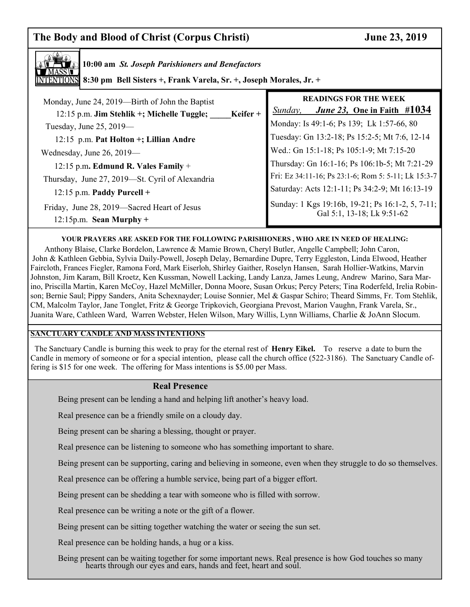# **The Body and Blood of Christ (Corpus Christi) June 23, 2019**



**10:00 am** *St. Joseph Parishioners and Benefactors*

**8:30 pm Bell Sisters +, Frank Varela, Sr. +, Joseph Morales, Jr. +**

| Monday, June 24, 2019—Birth of John the Baptist<br>12:15 p.m. Jim Stehlik +; Michelle Tuggle;<br>Keifer +<br>Tuesday, June 25, 2019-<br>12:15 p.m. Pat Holton +; Lillian Andre | <b>READINGS FOR THE WEEK</b><br>June 23, One in Faith #1034<br>Sunday,<br>Monday: Is 49:1-6; Ps 139; Lk 1:57-66, 80<br>Tuesday: Gn 13:2-18; Ps 15:2-5; Mt 7:6, 12-14 |
|--------------------------------------------------------------------------------------------------------------------------------------------------------------------------------|----------------------------------------------------------------------------------------------------------------------------------------------------------------------|
| Wednesday, June 26, 2019-                                                                                                                                                      | Wed.: Gn 15:1-18; Ps 105:1-9; Mt 7:15-20                                                                                                                             |
| 12:15 p.m. Edmund R. Vales Family $+$                                                                                                                                          | Thursday: Gn 16:1-16; Ps 106:1b-5; Mt 7:21-29                                                                                                                        |
| Thursday, June 27, 2019—St. Cyril of Alexandria                                                                                                                                | Fri: Ez 34:11-16; Ps 23:1-6; Rom 5: 5-11; Lk 15:3-7                                                                                                                  |
| $12:15$ p.m. Paddy Purcell +                                                                                                                                                   | Saturday: Acts 12:1-11; Ps 34:2-9; Mt 16:13-19                                                                                                                       |
| Friday, June 28, 2019—Sacred Heart of Jesus<br>$12:15p.m.$ Sean Murphy +                                                                                                       | Sunday: 1 Kgs 19:16b, 19-21; Ps 16:1-2, 5, 7-11;<br>Gal 5:1, 13-18; Lk 9:51-62                                                                                       |

#### **YOUR PRAYERS ARE ASKED FOR THE FOLLOWING PARISHIONERS , WHO ARE IN NEED OF HEALING:**

 Anthony Blaise, Clarke Bordelon, Lawrence & Mamie Brown, Cheryl Butler, Angelle Campbell; John Caron, John & Kathleen Gebbia, Sylvia Daily-Powell, Joseph Delay, Bernardine Dupre, Terry Eggleston, Linda Elwood, Heather Faircloth, Frances Fiegler, Ramona Ford, Mark Eiserloh, Shirley Gaither, Roselyn Hansen, Sarah Hollier-Watkins, Marvin Johnston, Jim Karam, Bill Kroetz, Ken Kussman, Nowell Lacking, Landy Lanza, James Leung, Andrew Marino, Sara Marino, Priscilla Martin, Karen McCoy, Hazel McMiller, Donna Moore, Susan Orkus; Percy Peters; Tina Roderfeld, Irelia Robinson; Bernie Saul; Pippy Sanders, Anita Schexnayder; Louise Sonnier, Mel & Gaspar Schiro; Theard Simms, Fr. Tom Stehlik, CM, Malcolm Taylor, Jane Tonglet, Fritz & George Tripkovich, Georgiana Prevost, Marion Vaughn, Frank Varela, Sr., Juanita Ware, Cathleen Ward, Warren Webster, Helen Wilson, Mary Willis, Lynn Williams, Charlie & JoAnn Slocum.

#### **SANCTUARY CANDLE AND MASS INTENTIONS**

 The Sanctuary Candle is burning this week to pray for the eternal rest of **Henry Eikel.** To reserve a date to burn the Candle in memory of someone or for a special intention, please call the church office (522-3186). The Sanctuary Candle offering is \$15 for one week. The offering for Mass intentions is \$5.00 per Mass.

#### **Real Presence**

Being present can be lending a hand and helping lift another's heavy load.

Real presence can be a friendly smile on a cloudy day.

Being present can be sharing a blessing, thought or prayer.

Real presence can be listening to someone who has something important to share.

Being present can be supporting, caring and believing in someone, even when they struggle to do so themselves.

Real presence can be offering a humble service, being part of a bigger effort.

Being present can be shedding a tear with someone who is filled with sorrow.

Real presence can be writing a note or the gift of a flower.

Being present can be sitting together watching the water or seeing the sun set.

Real presence can be holding hands, a hug or a kiss.

Being present can be waiting together for some important news. Real presence is how God touches so many hearts through our eyes and ears, hands and feet, heart and soul.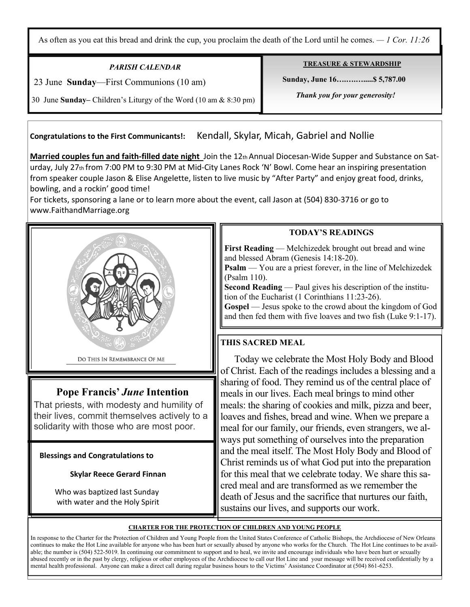As often as you eat this bread and drink the cup, you proclaim the death of the Lord until he comes. *— 1 Cor. 11:26*

# *PARISH CALENDAR*

23 June **Sunday**—First Communions (10 am)

Ξ

**TREASURE & STEWARDSHIP**

 **Sunday, June 16….….….....\$ 5,787.00** 

 *Thank you for your generosity!* 

30 June **Sunday–** Children's Liturgy of the Word (10 am & 8:30 pm)

**Congratulations to the First Communicants!:** Kendall, Skylar, Micah, Gabriel and Nollie

**Married couples fun and faith-filled date night** Join the 12th Annual Diocesan-Wide Supper and Substance on Saturday, July 27th from 7:00 PM to 9:30 PM at Mid-City Lanes Rock 'N' Bowl. Come hear an inspiring presentation from speaker couple Jason & Elise Angelette, listen to live music by "After Party" and enjoy great food, drinks, bowling, and a rockin' good time!

For tickets, sponsoring a lane or to learn more about the event, call Jason at (504) 830-3716 or go to www.FaithandMarriage.org



# **Pope Francis'** *June* **Intention**

That priests, with modesty and humility of their lives, commit themselves actively to a solidarity with those who are most poor.

 **Blessings and Congratulations to** 

#### **Skylar Reece Gerard Finnan**

 Who was baptized last Sunday with water and the Holy Spirit

### **TODAY'S READINGS**

**First Reading** — Melchizedek brought out bread and wine and blessed Abram (Genesis 14:18-20).

**Psalm** — You are a priest forever, in the line of Melchizedek (Psalm 110).

**Second Reading** — Paul gives his description of the institution of the Eucharist (1 Corinthians 11:23-26).

Gospel — Jesus spoke to the crowd about the kingdom of God and then fed them with five loaves and two fish (Luke 9:1-17).

## **THIS SACRED MEAL**

Today we celebrate the Most Holy Body and Blood of Christ. Each of the readings includes a blessing and a sharing of food. They remind us of the central place of meals in our lives. Each meal brings to mind other meals: the sharing of cookies and milk, pizza and beer, loaves and fishes, bread and wine. When we prepare a meal for our family, our friends, even strangers, we always put something of ourselves into the preparation and the meal itself. The Most Holy Body and Blood of Christ reminds us of what God put into the preparation for this meal that we celebrate today. We share this sacred meal and are transformed as we remember the death of Jesus and the sacrifice that nurtures our faith, sustains our lives, and supports our work.

#### **CHARTER FOR THE PROTECTION OF CHILDREN AND YOUNG PEOPLE**

In response to the Charter for the Protection of Children and Young People from the United States Conference of Catholic Bishops, the Archdiocese of New Orleans continues to make the Hot Line available for anyone who has been hurt or sexually abused by anyone who works for the Church. The Hot Line continues to be available; the number is (504) 522-5019. In continuing our commitment to support and to heal, we invite and encourage individuals who have been hurt or sexually abused recently or in the past by clergy, religious or other employees of the Archdiocese to call our Hot Line and your message will be received confidentially by a mental health professional. Anyone can make a direct call during regular business hours to the Victims' Assistance Coordinator at (504) 861-6253.